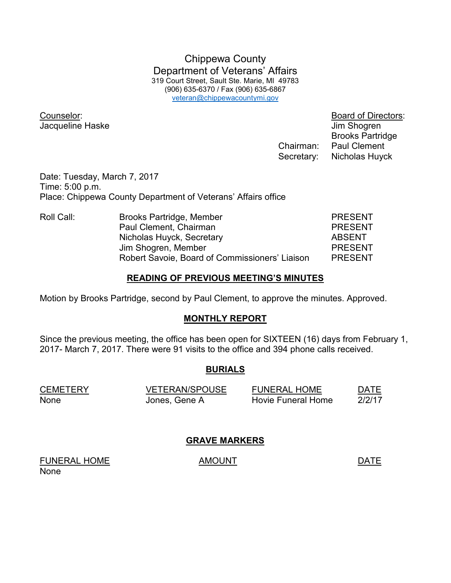Chippewa County Department of Veterans' Affairs 319 Court Street, Sault Ste. Marie, MI 49783 (906) 635-6370 / Fax (906) 635-6867 veteran@chippewacountymi.gov

Counselor: Board of Directors: Jacqueline Haske Jacqueline Haske June 1999

Brooks Partridge

 Chairman: Paul Clement Secretary: Nicholas Huyck

Date: Tuesday, March 7, 2017 Time: 5:00 p.m. Place: Chippewa County Department of Veterans' Affairs office

| Roll Call: | Brooks Partridge, Member                       | <b>PRESENT</b> |
|------------|------------------------------------------------|----------------|
|            | Paul Clement, Chairman                         | <b>PRESENT</b> |
|            | Nicholas Huyck, Secretary                      | <b>ABSENT</b>  |
|            | Jim Shogren, Member                            | <b>PRESENT</b> |
|            | Robert Savoie, Board of Commissioners' Liaison | <b>PRESENT</b> |

#### **READING OF PREVIOUS MEETING'S MINUTES**

Motion by Brooks Partridge, second by Paul Clement, to approve the minutes. Approved.

#### **MONTHLY REPORT**

Since the previous meeting, the office has been open for SIXTEEN (16) days from February 1, 2017- March 7, 2017. There were 91 visits to the office and 394 phone calls received.

## **BURIALS**

| <b>CEMETERY</b> | <b>VETERAN/SPOUSE</b> | <b>FUNERAL HOME</b>       | DATE   |
|-----------------|-----------------------|---------------------------|--------|
| None            | Jones, Gene A         | <b>Hovie Funeral Home</b> | 2/2/17 |

## **GRAVE MARKERS**

FUNERAL HOME AMOUNT AMOUNT None